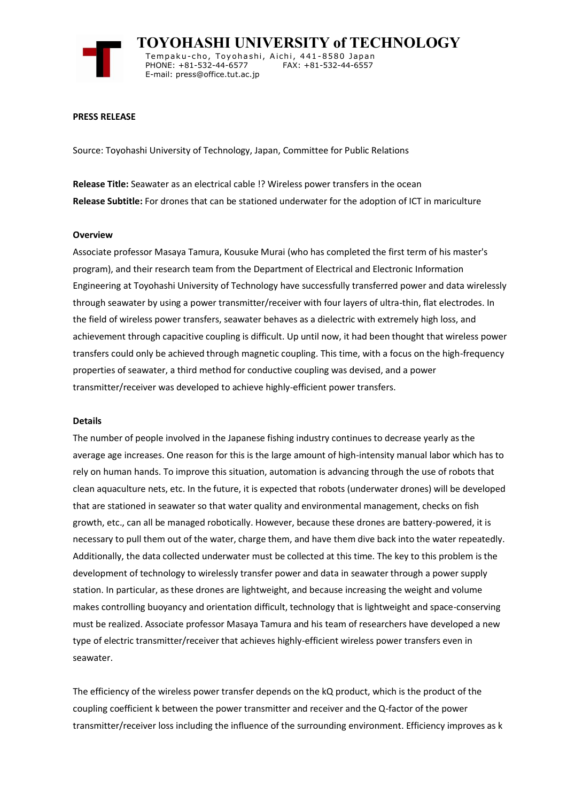

 **TOYOHASHI UNIVERSITY of TECHNOLOGY** Tempaku-cho, Toyohashi, Aichi, 441-8580 Japan<br>PHONE: +81-532-44-6577 FAX: +81-532-44-6557 PHONE: +81-532-44-6577 E-mail: press@office.tut.ac.jp

### **PRESS RELEASE**

Source: Toyohashi University of Technology, Japan, Committee for Public Relations

**Release Title:** Seawater as an electrical cable !? Wireless power transfers in the ocean **Release Subtitle:** For drones that can be stationed underwater for the adoption of ICT in mariculture

### **Overview**

Associate professor Masaya Tamura, Kousuke Murai (who has completed the first term of his master's program), and their research team from the Department of Electrical and Electronic Information Engineering at Toyohashi University of Technology have successfully transferred power and data wirelessly through seawater by using a power transmitter/receiver with four layers of ultra-thin, flat electrodes. In the field of wireless power transfers, seawater behaves as a dielectric with extremely high loss, and achievement through capacitive coupling is difficult. Up until now, it had been thought that wireless power transfers could only be achieved through magnetic coupling. This time, with a focus on the high-frequency properties of seawater, a third method for conductive coupling was devised, and a power transmitter/receiver was developed to achieve highly-efficient power transfers.

### **Details**

The number of people involved in the Japanese fishing industry continues to decrease yearly as the average age increases. One reason for this is the large amount of high-intensity manual labor which has to rely on human hands. To improve this situation, automation is advancing through the use of robots that clean aquaculture nets, etc. In the future, it is expected that robots (underwater drones) will be developed that are stationed in seawater so that water quality and environmental management, checks on fish growth, etc., can all be managed robotically. However, because these drones are battery-powered, it is necessary to pull them out of the water, charge them, and have them dive back into the water repeatedly. Additionally, the data collected underwater must be collected at this time. The key to this problem is the development of technology to wirelessly transfer power and data in seawater through a power supply station. In particular, as these drones are lightweight, and because increasing the weight and volume makes controlling buoyancy and orientation difficult, technology that is lightweight and space-conserving must be realized. Associate professor Masaya Tamura and his team of researchers have developed a new type of electric transmitter/receiver that achieves highly-efficient wireless power transfers even in seawater.

The efficiency of the wireless power transfer depends on the kQ product, which is the product of the coupling coefficient k between the power transmitter and receiver and the Q-factor of the power transmitter/receiver loss including the influence of the surrounding environment. Efficiency improves as k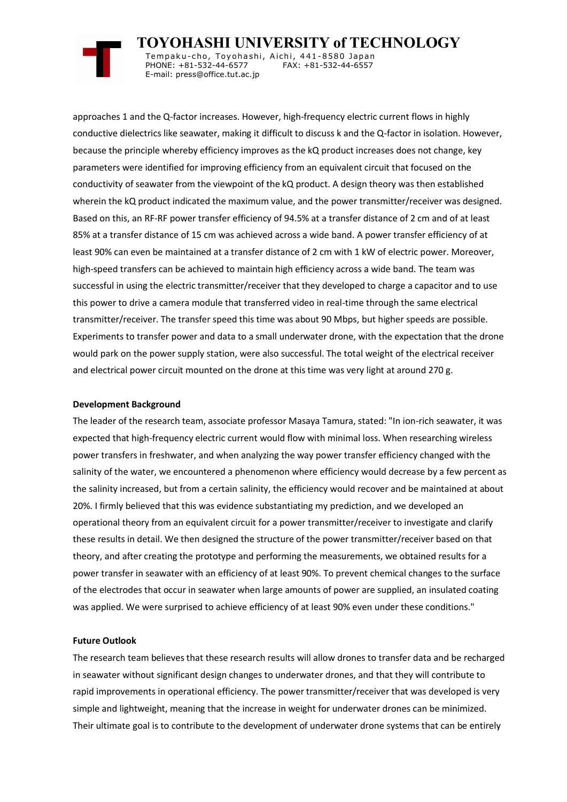

 **TOYOHASHI UNIVERSITY of TECHNOLOGY** Tempaku-cho, Toyohashi, Aichi, 441-8580 Japan<br>PHONE: +81-532-44-6577 FAX: +81-532-44-6557 PHONE: +81-532-44-6577 E-mail: press@office.tut.ac.jp

approaches 1 and the Q-factor increases. However, high-frequency electric current flows in highly conductive dielectrics like seawater, making it difficult to discuss k and the Q-factor in isolation. However, because the principle whereby efficiency improves as the kQ product increases does not change, key parameters were identified for improving efficiency from an equivalent circuit that focused on the conductivity of seawater from the viewpoint of the kQ product. A design theory was then established wherein the kQ product indicated the maximum value, and the power transmitter/receiver was designed. Based on this, an RF-RF power transfer efficiency of 94.5% at a transfer distance of 2 cm and of at least 85% at a transfer distance of 15 cm was achieved across a wide band. A power transfer efficiency of at least 90% can even be maintained at a transfer distance of 2 cm with 1 kW of electric power. Moreover, high-speed transfers can be achieved to maintain high efficiency across a wide band. The team was successful in using the electric transmitter/receiver that they developed to charge a capacitor and to use this power to drive a camera module that transferred video in real-time through the same electrical transmitter/receiver. The transfer speed this time was about 90 Mbps, but higher speeds are possible. Experiments to transfer power and data to a small underwater drone, with the expectation that the drone would park on the power supply station, were also successful. The total weight of the electrical receiver and electrical power circuit mounted on the drone at this time was very light at around 270 g.

## **Development Background**

The leader of the research team, associate professor Masaya Tamura, stated: "In ion-rich seawater, it was expected that high-frequency electric current would flow with minimal loss. When researching wireless power transfers in freshwater, and when analyzing the way power transfer efficiency changed with the salinity of the water, we encountered a phenomenon where efficiency would decrease by a few percent as the salinity increased, but from a certain salinity, the efficiency would recover and be maintained at about 20%. I firmly believed that this was evidence substantiating my prediction, and we developed an operational theory from an equivalent circuit for a power transmitter/receiver to investigate and clarify these results in detail. We then designed the structure of the power transmitter/receiver based on that theory, and after creating the prototype and performing the measurements, we obtained results for a power transfer in seawater with an efficiency of at least 90%. To prevent chemical changes to the surface of the electrodes that occur in seawater when large amounts of power are supplied, an insulated coating was applied. We were surprised to achieve efficiency of at least 90% even under these conditions."

# **Future Outlook**

The research team believes that these research results will allow drones to transfer data and be recharged in seawater without significant design changes to underwater drones, and that they will contribute to rapid improvements in operational efficiency. The power transmitter/receiver that was developed is very simple and lightweight, meaning that the increase in weight for underwater drones can be minimized. Their ultimate goal is to contribute to the development of underwater drone systems that can be entirely